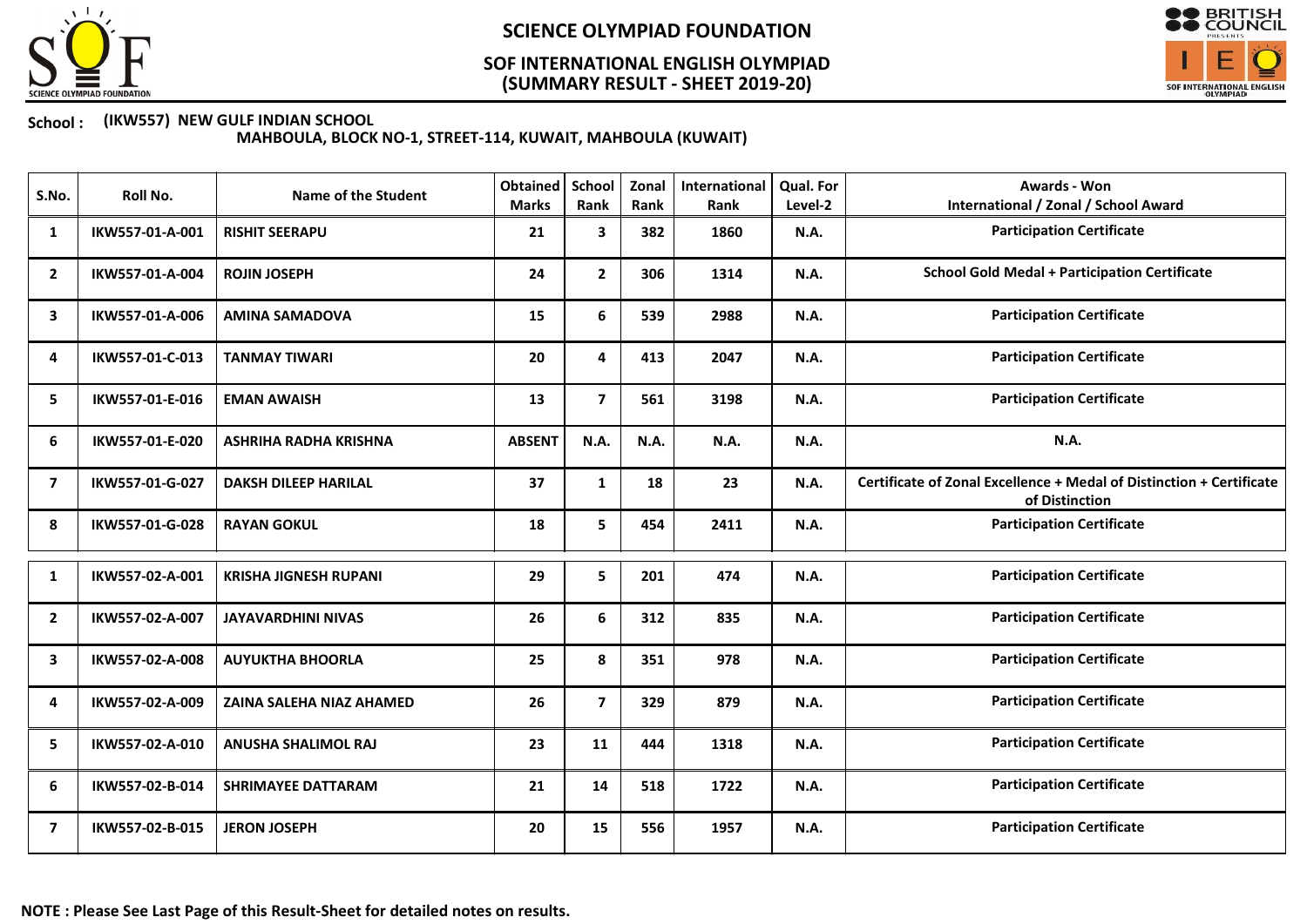

### (SUMMARY RESULT - SHEET 2019-20) SOF INTERNATIONAL ENGLISH OLYMPIAD



#### School : (IKW557) NEW GULF INDIAN SCHOOL

MAHBOULA, BLOCK NO-1, STREET-114, KUWAIT, MAHBOULA (KUWAIT)

| S.No.          | Roll No.        | <b>Name of the Student</b>      | Obtained<br><b>Marks</b> | <b>School</b><br>Rank   | Zonal<br>Rank | International<br>Rank | <b>Qual. For</b><br>Level-2 | <b>Awards - Won</b><br><b>International / Zonal / School Award</b>                     |
|----------------|-----------------|---------------------------------|--------------------------|-------------------------|---------------|-----------------------|-----------------------------|----------------------------------------------------------------------------------------|
| 1              | IKW557-01-A-001 | <b>RISHIT SEERAPU</b>           | 21                       | 3                       | 382           | 1860                  | N.A.                        | <b>Participation Certificate</b>                                                       |
| $\overline{2}$ | IKW557-01-A-004 | <b>ROJIN JOSEPH</b>             | 24                       | $\overline{2}$          | 306           | 1314                  | N.A.                        | <b>School Gold Medal + Participation Certificate</b>                                   |
| 3              | IKW557-01-A-006 | <b>AMINA SAMADOVA</b>           | 15                       | 6                       | 539           | 2988                  | <b>N.A.</b>                 | <b>Participation Certificate</b>                                                       |
| 4              | IKW557-01-C-013 | <b>TANMAY TIWARI</b>            | 20                       | 4                       | 413           | 2047                  | N.A.                        | <b>Participation Certificate</b>                                                       |
| 5              | IKW557-01-E-016 | <b>EMAN AWAISH</b>              | 13                       | $\overline{\mathbf{z}}$ | 561           | 3198                  | <b>N.A.</b>                 | <b>Participation Certificate</b>                                                       |
| 6              | IKW557-01-E-020 | <b>ASHRIHA RADHA KRISHNA</b>    | <b>ABSENT</b>            | N.A.                    | N.A.          | N.A.                  | <b>N.A.</b>                 | N.A.                                                                                   |
| 7              | IKW557-01-G-027 | <b>DAKSH DILEEP HARILAL</b>     | 37                       | $\mathbf{1}$            | 18            | 23                    | N.A.                        | Certificate of Zonal Excellence + Medal of Distinction + Certificate<br>of Distinction |
| 8              | IKW557-01-G-028 | <b>RAYAN GOKUL</b>              | 18                       | 5                       | 454           | 2411                  | <b>N.A.</b>                 | <b>Participation Certificate</b>                                                       |
| 1              | IKW557-02-A-001 | <b>KRISHA JIGNESH RUPANI</b>    | 29                       | 5                       | 201           | 474                   | <b>N.A.</b>                 | <b>Participation Certificate</b>                                                       |
| $\overline{2}$ | IKW557-02-A-007 | <b>JAYAVARDHINI NIVAS</b>       | 26                       | 6                       | 312           | 835                   | <b>N.A.</b>                 | <b>Participation Certificate</b>                                                       |
| 3              | IKW557-02-A-008 | <b>AUYUKTHA BHOORLA</b>         | 25                       | 8                       | 351           | 978                   | N.A.                        | <b>Participation Certificate</b>                                                       |
| 4              | IKW557-02-A-009 | <b>ZAINA SALEHA NIAZ AHAMED</b> | 26                       | $\overline{7}$          | 329           | 879                   | N.A.                        | <b>Participation Certificate</b>                                                       |
| 5              | IKW557-02-A-010 | <b>ANUSHA SHALIMOL RAJ</b>      | 23                       | 11                      | 444           | 1318                  | <b>N.A.</b>                 | <b>Participation Certificate</b>                                                       |
| 6              | IKW557-02-B-014 | <b>SHRIMAYEE DATTARAM</b>       | 21                       | 14                      | 518           | 1722                  | <b>N.A.</b>                 | <b>Participation Certificate</b>                                                       |
| 7              | IKW557-02-B-015 | <b>JERON JOSEPH</b>             | 20                       | 15                      | 556           | 1957                  | N.A.                        | <b>Participation Certificate</b>                                                       |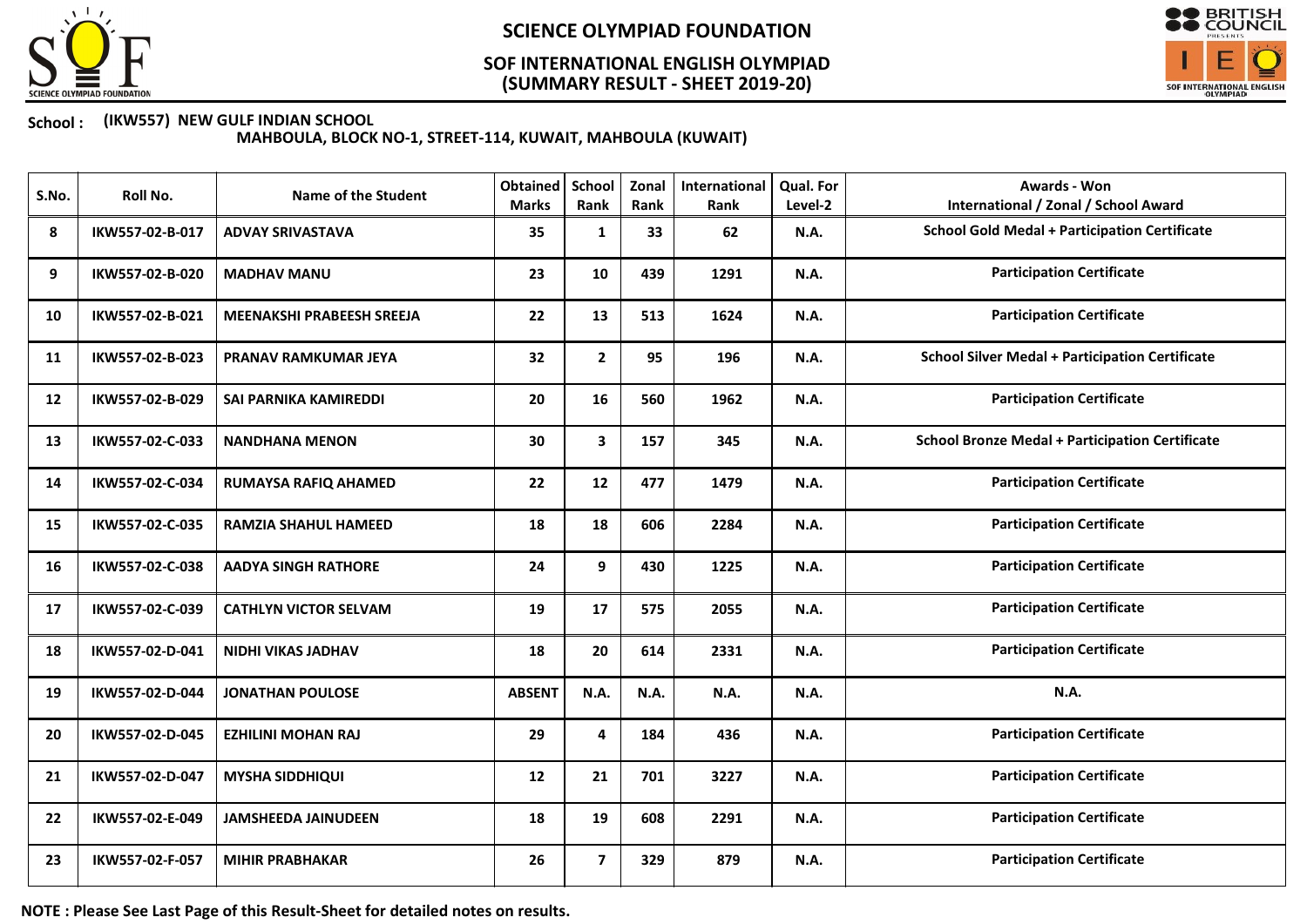

### (SUMMARY RESULT - SHEET 2019-20) SOF INTERNATIONAL ENGLISH OLYMPIAD



### School : (IKW557) NEW GULF INDIAN SCHOOL

MAHBOULA, BLOCK NO-1, STREET-114, KUWAIT, MAHBOULA (KUWAIT)

| S.No. | Roll No.        | <b>Name of the Student</b>       | <b>Obtained</b><br><b>Marks</b> | School<br>Rank | Zonal<br>Rank | International<br>Rank | <b>Qual. For</b><br>Level-2 | <b>Awards - Won</b><br><b>International / Zonal / School Award</b> |
|-------|-----------------|----------------------------------|---------------------------------|----------------|---------------|-----------------------|-----------------------------|--------------------------------------------------------------------|
| 8     | IKW557-02-B-017 | <b>ADVAY SRIVASTAVA</b>          | 35                              | $\mathbf{1}$   | 33            | 62                    | <b>N.A.</b>                 | <b>School Gold Medal + Participation Certificate</b>               |
| 9     | IKW557-02-B-020 | <b>MADHAV MANU</b>               | 23                              | 10             | 439           | 1291                  | <b>N.A.</b>                 | <b>Participation Certificate</b>                                   |
| 10    | IKW557-02-B-021 | <b>MEENAKSHI PRABEESH SREEJA</b> | 22                              | 13             | 513           | 1624                  | <b>N.A.</b>                 | <b>Participation Certificate</b>                                   |
| 11    | IKW557-02-B-023 | <b>PRANAV RAMKUMAR JEYA</b>      | 32                              | $\mathbf{2}$   | 95            | 196                   | N.A.                        | <b>School Silver Medal + Participation Certificate</b>             |
| 12    | IKW557-02-B-029 | SAI PARNIKA KAMIREDDI            | 20                              | 16             | 560           | 1962                  | <b>N.A.</b>                 | <b>Participation Certificate</b>                                   |
| 13    | IKW557-02-C-033 | <b>NANDHANA MENON</b>            | 30                              | $\mathbf{3}$   | 157           | 345                   | N.A.                        | <b>School Bronze Medal + Participation Certificate</b>             |
| 14    | IKW557-02-C-034 | RUMAYSA RAFIQ AHAMED             | 22                              | 12             | 477           | 1479                  | <b>N.A.</b>                 | <b>Participation Certificate</b>                                   |
| 15    | IKW557-02-C-035 | <b>RAMZIA SHAHUL HAMEED</b>      | 18                              | 18             | 606           | 2284                  | <b>N.A.</b>                 | <b>Participation Certificate</b>                                   |
| 16    | IKW557-02-C-038 | <b>AADYA SINGH RATHORE</b>       | 24                              | 9              | 430           | 1225                  | <b>N.A.</b>                 | <b>Participation Certificate</b>                                   |
| 17    | IKW557-02-C-039 | <b>CATHLYN VICTOR SELVAM</b>     | 19                              | 17             | 575           | 2055                  | <b>N.A.</b>                 | <b>Participation Certificate</b>                                   |
| 18    | IKW557-02-D-041 | NIDHI VIKAS JADHAV               | 18                              | 20             | 614           | 2331                  | <b>N.A.</b>                 | <b>Participation Certificate</b>                                   |
| 19    | IKW557-02-D-044 | <b>JONATHAN POULOSE</b>          | <b>ABSENT</b>                   | N.A.           | N.A.          | N.A.                  | N.A.                        | N.A.                                                               |
| 20    | IKW557-02-D-045 | <b>EZHILINI MOHAN RAJ</b>        | 29                              | 4              | 184           | 436                   | <b>N.A.</b>                 | <b>Participation Certificate</b>                                   |
| 21    | IKW557-02-D-047 | <b>MYSHA SIDDHIQUI</b>           | 12                              | 21             | 701           | 3227                  | <b>N.A.</b>                 | <b>Participation Certificate</b>                                   |
| 22    | IKW557-02-E-049 | <b>JAMSHEEDA JAINUDEEN</b>       | 18                              | 19             | 608           | 2291                  | N.A.                        | <b>Participation Certificate</b>                                   |
| 23    | IKW557-02-F-057 | <b>MIHIR PRABHAKAR</b>           | 26                              | $\overline{7}$ | 329           | 879                   | <b>N.A.</b>                 | <b>Participation Certificate</b>                                   |

NOTE : Please See Last Page of this Result-Sheet for detailed notes on results.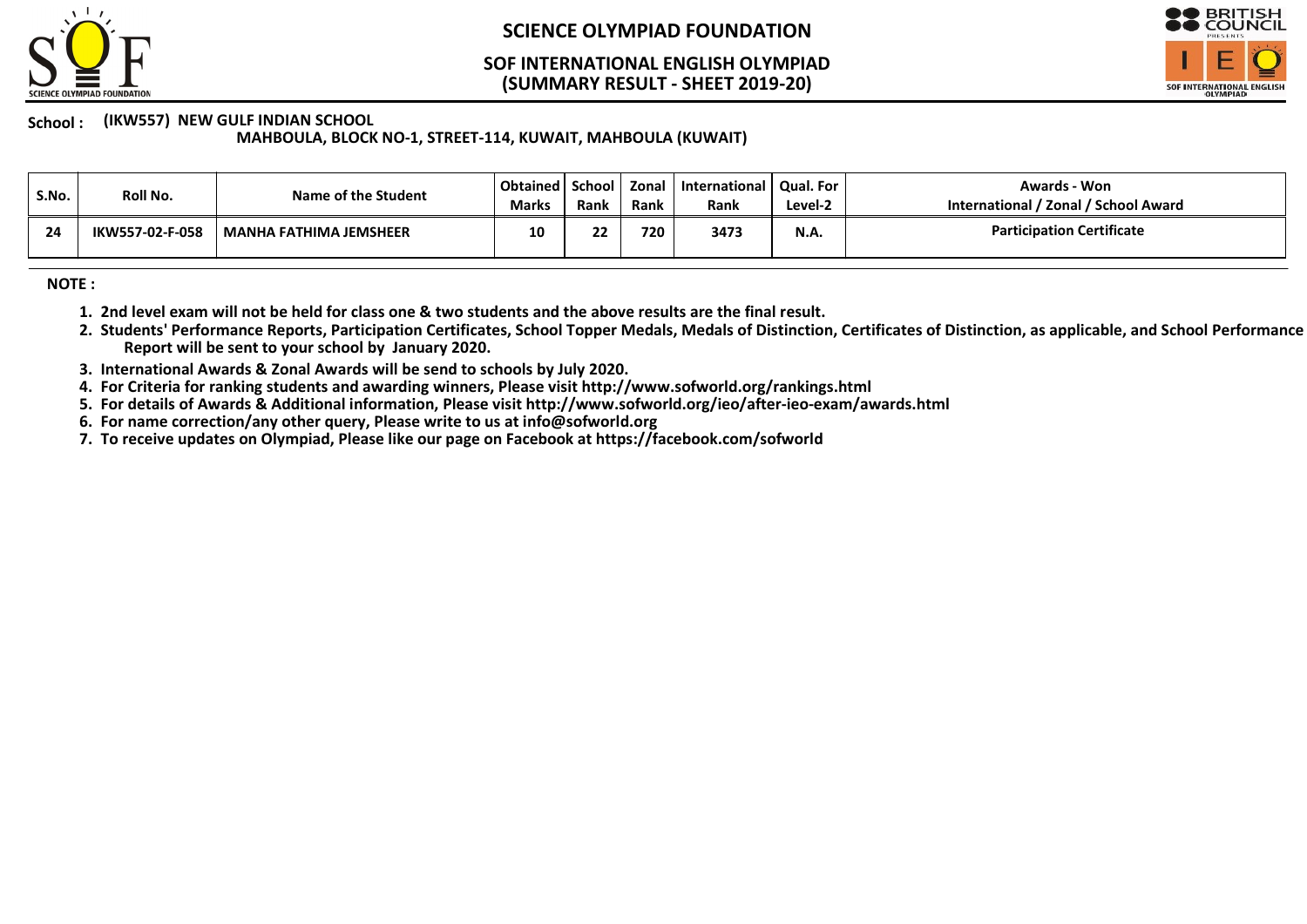

#### (SUMMARY RESULT - SHEET 2019-20) SOF INTERNATIONAL ENGLISH OLYMPIAD



School: (IKW557) NEW GULF INDIAN SCHOOL

MAHBOULA, BLOCK NO-1, STREET-114, KUWAIT, MAHBOULA (KUWAIT)

| S.No. | Roll No.        | Name of the Student           | Obtained   School  <br><b>Marks</b> | Rank | Zonal<br>Rank | International   Qual. For<br>Rank | Level-2     | Awards - Won<br>International / Zonal / School Award |
|-------|-----------------|-------------------------------|-------------------------------------|------|---------------|-----------------------------------|-------------|------------------------------------------------------|
| 24    | IKW557-02-F-058 | <b>MANHA FATHIMA JEMSHEER</b> | 10                                  | 22   | 720           | 3473                              | <b>N.A.</b> | <b>Participation Certificate</b>                     |

NOTE :

- 1. 2nd level exam will not be held for class one & two students and the above results are the final result.
- 2. Students' Performance Reports, Participation Certificates, School Topper Medals, Medals of Distinction, Certificates of Distinction, as applicable, and School Performance Report will be sent to your school by January 2020.
- 3. International Awards & Zonal Awards will be send to schools by July 2020.
- 4. For Criteria for ranking students and awarding winners, Please visit http://www.sofworld.org/rankings.html
- 5. For details of Awards & Additional information, Please visit http://www.sofworld.org/ieo/after-ieo-exam/awards.html
- 6. For name correction/any other query, Please write to us at info@sofworld.org
- 7. To receive updates on Olympiad, Please like our page on Facebook at https://facebook.com/sofworld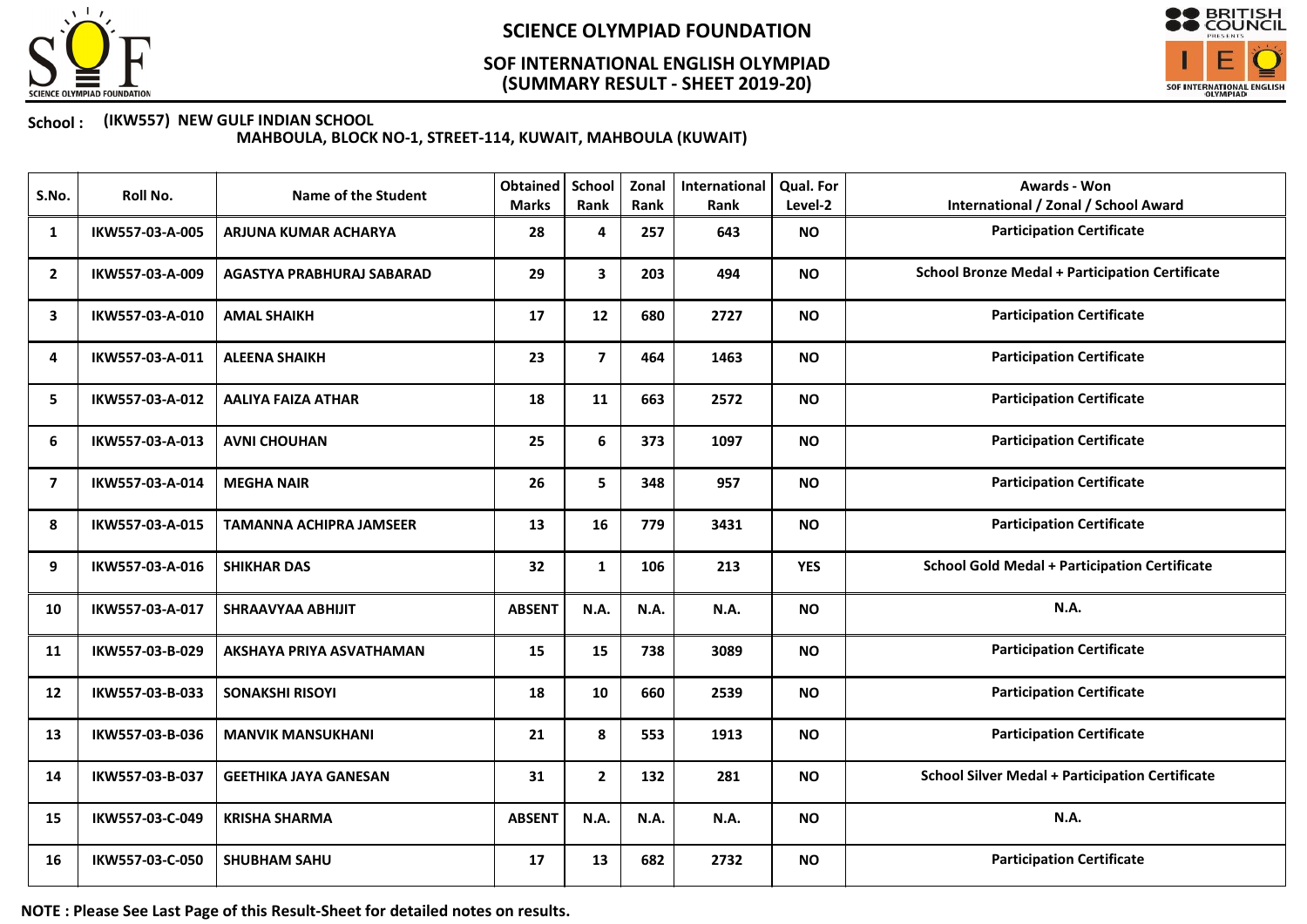

### (SUMMARY RESULT - SHEET 2019-20) SOF INTERNATIONAL ENGLISH OLYMPIAD



#### School : (IKW557) NEW GULF INDIAN SCHOOL

MAHBOULA, BLOCK NO-1, STREET-114, KUWAIT, MAHBOULA (KUWAIT)

| S.No.                   | Roll No.        | <b>Name of the Student</b>     | Obtained<br><b>Marks</b> | School<br>Rank | Zonal<br>Rank | International<br>Rank | Qual. For<br>Level-2 | <b>Awards - Won</b><br><b>International / Zonal / School Award</b> |
|-------------------------|-----------------|--------------------------------|--------------------------|----------------|---------------|-----------------------|----------------------|--------------------------------------------------------------------|
| 1                       | IKW557-03-A-005 | ARJUNA KUMAR ACHARYA           | 28                       | 4              | 257           | 643                   | <b>NO</b>            | <b>Participation Certificate</b>                                   |
| $\overline{2}$          | IKW557-03-A-009 | AGASTYA PRABHURAJ SABARAD      | 29                       | $\mathbf{3}$   | 203           | 494                   | <b>NO</b>            | <b>School Bronze Medal + Participation Certificate</b>             |
| 3                       | IKW557-03-A-010 | <b>AMAL SHAIKH</b>             | 17                       | 12             | 680           | 2727                  | <b>NO</b>            | <b>Participation Certificate</b>                                   |
| 4                       | IKW557-03-A-011 | <b>ALEENA SHAIKH</b>           | 23                       | $\overline{7}$ | 464           | 1463                  | <b>NO</b>            | <b>Participation Certificate</b>                                   |
| 5                       | IKW557-03-A-012 | <b>AALIYA FAIZA ATHAR</b>      | 18                       | 11             | 663           | 2572                  | <b>NO</b>            | <b>Participation Certificate</b>                                   |
| 6                       | IKW557-03-A-013 | <b>AVNI CHOUHAN</b>            | 25                       | 6              | 373           | 1097                  | <b>NO</b>            | <b>Participation Certificate</b>                                   |
| $\overline{\mathbf{z}}$ | IKW557-03-A-014 | <b>MEGHA NAIR</b>              | 26                       | 5              | 348           | 957                   | <b>NO</b>            | <b>Participation Certificate</b>                                   |
| 8                       | IKW557-03-A-015 | <b>TAMANNA ACHIPRA JAMSEER</b> | 13                       | 16             | 779           | 3431                  | <b>NO</b>            | <b>Participation Certificate</b>                                   |
| 9                       | IKW557-03-A-016 | <b>SHIKHAR DAS</b>             | 32                       | $\mathbf{1}$   | 106           | 213                   | <b>YES</b>           | <b>School Gold Medal + Participation Certificate</b>               |
| 10                      | IKW557-03-A-017 | <b>SHRAAVYAA ABHIJIT</b>       | <b>ABSENT</b>            | N.A.           | N.A.          | N.A.                  | <b>NO</b>            | <b>N.A.</b>                                                        |
| 11                      | IKW557-03-B-029 | AKSHAYA PRIYA ASVATHAMAN       | 15                       | 15             | 738           | 3089                  | <b>NO</b>            | <b>Participation Certificate</b>                                   |
| 12                      | IKW557-03-B-033 | <b>SONAKSHI RISOYI</b>         | 18                       | 10             | 660           | 2539                  | <b>NO</b>            | <b>Participation Certificate</b>                                   |
| 13                      | IKW557-03-B-036 | <b>MANVIK MANSUKHANI</b>       | 21                       | 8              | 553           | 1913                  | <b>NO</b>            | <b>Participation Certificate</b>                                   |
| 14                      | IKW557-03-B-037 | <b>GEETHIKA JAYA GANESAN</b>   | 31                       | $\mathbf{2}$   | 132           | 281                   | <b>NO</b>            | <b>School Silver Medal + Participation Certificate</b>             |
| 15                      | IKW557-03-C-049 | <b>KRISHA SHARMA</b>           | <b>ABSENT</b>            | <b>N.A.</b>    | N.A.          | N.A.                  | <b>NO</b>            | <b>N.A.</b>                                                        |
| 16                      | IKW557-03-C-050 | <b>SHUBHAM SAHU</b>            | 17                       | 13             | 682           | 2732                  | <b>NO</b>            | <b>Participation Certificate</b>                                   |

NOTE : Please See Last Page of this Result-Sheet for detailed notes on results.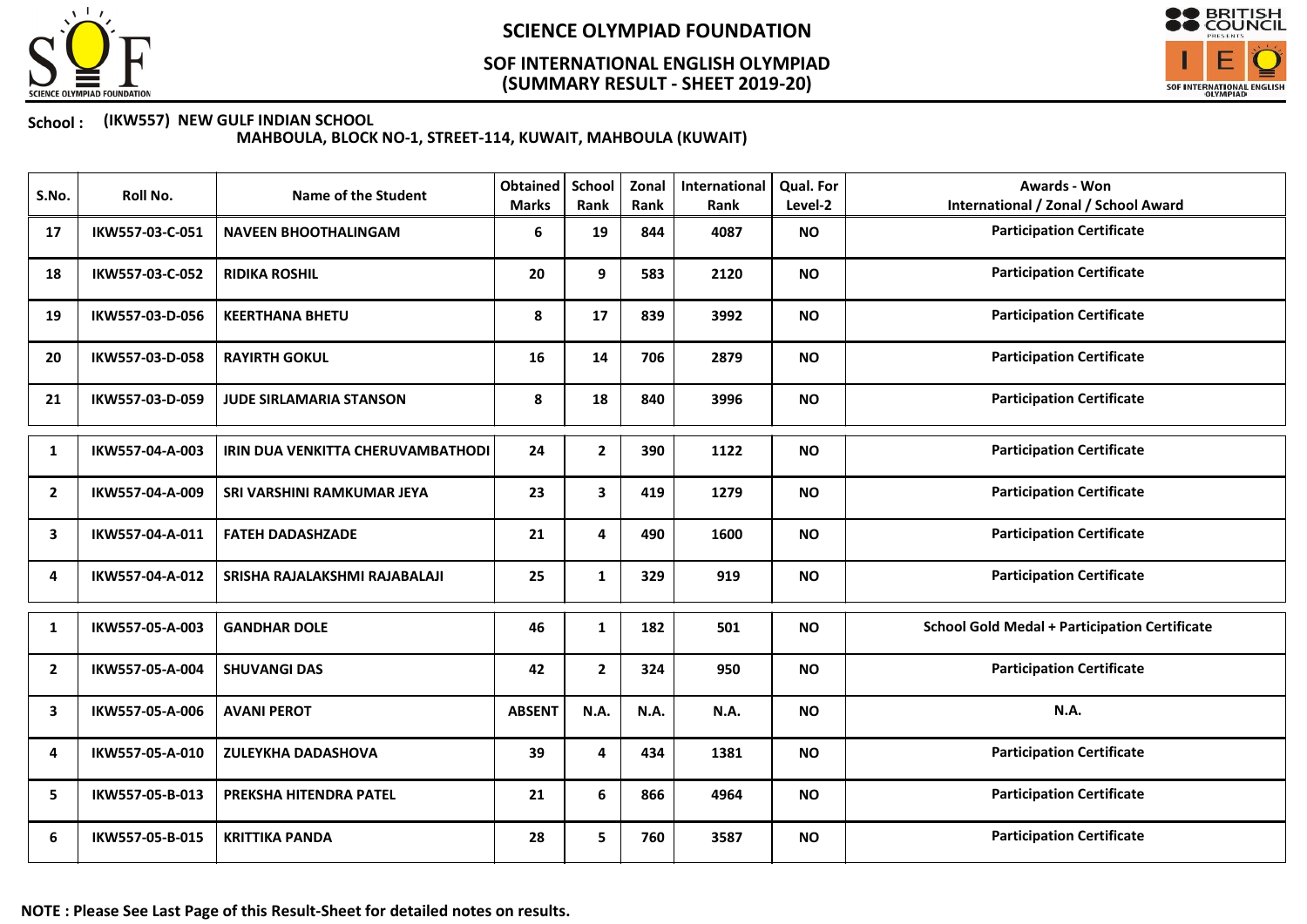

### (SUMMARY RESULT - SHEET 2019-20) SOF INTERNATIONAL ENGLISH OLYMPIAD



#### School : (IKW557) NEW GULF INDIAN SCHOOL

MAHBOULA, BLOCK NO-1, STREET-114, KUWAIT, MAHBOULA (KUWAIT)

| S.No.          | Roll No.        | <b>Name of the Student</b>        | <b>Obtained</b><br><b>Marks</b> | School<br>Rank | Zonal<br>Rank | International<br>Rank | <b>Qual. For</b><br>Level-2 | Awards - Won<br><b>International / Zonal / School Award</b> |
|----------------|-----------------|-----------------------------------|---------------------------------|----------------|---------------|-----------------------|-----------------------------|-------------------------------------------------------------|
| 17             | IKW557-03-C-051 | <b>NAVEEN BHOOTHALINGAM</b>       | 6                               | 19             | 844           | 4087                  | <b>NO</b>                   | <b>Participation Certificate</b>                            |
| 18             | IKW557-03-C-052 | <b>RIDIKA ROSHIL</b>              | 20                              | 9              | 583           | 2120                  | <b>NO</b>                   | <b>Participation Certificate</b>                            |
| 19             | IKW557-03-D-056 | <b>KEERTHANA BHETU</b>            | 8                               | 17             | 839           | 3992                  | <b>NO</b>                   | <b>Participation Certificate</b>                            |
| 20             | IKW557-03-D-058 | <b>RAYIRTH GOKUL</b>              | 16                              | 14             | 706           | 2879                  | <b>NO</b>                   | <b>Participation Certificate</b>                            |
| 21             | IKW557-03-D-059 | <b>JUDE SIRLAMARIA STANSON</b>    | 8                               | 18             | 840           | 3996                  | <b>NO</b>                   | <b>Participation Certificate</b>                            |
| 1              | IKW557-04-A-003 | IRIN DUA VENKITTA CHERUVAMBATHODI | 24                              | $\mathbf{2}$   | 390           | 1122                  | <b>NO</b>                   | <b>Participation Certificate</b>                            |
| 2              | IKW557-04-A-009 | SRI VARSHINI RAMKUMAR JEYA        | 23                              | 3              | 419           | 1279                  | <b>NO</b>                   | <b>Participation Certificate</b>                            |
| 3              | IKW557-04-A-011 | <b>FATEH DADASHZADE</b>           | 21                              | 4              | 490           | 1600                  | <b>NO</b>                   | <b>Participation Certificate</b>                            |
| 4              | IKW557-04-A-012 | SRISHA RAJALAKSHMI RAJABALAJI     | 25                              | $\mathbf{1}$   | 329           | 919                   | <b>NO</b>                   | <b>Participation Certificate</b>                            |
| 1              | IKW557-05-A-003 | <b>GANDHAR DOLE</b>               | 46                              | $\mathbf{1}$   | 182           | 501                   | <b>NO</b>                   | <b>School Gold Medal + Participation Certificate</b>        |
| $\overline{2}$ | IKW557-05-A-004 | <b>SHUVANGI DAS</b>               | 42                              | $\mathbf{2}$   | 324           | 950                   | <b>NO</b>                   | <b>Participation Certificate</b>                            |
| 3              | IKW557-05-A-006 | <b>AVANI PEROT</b>                | <b>ABSENT</b>                   | N.A.           | N.A.          | N.A.                  | <b>NO</b>                   | N.A.                                                        |
| 4              | IKW557-05-A-010 | <b>ZULEYKHA DADASHOVA</b>         | 39                              | 4              | 434           | 1381                  | <b>NO</b>                   | <b>Participation Certificate</b>                            |
| 5              | IKW557-05-B-013 | PREKSHA HITENDRA PATEL            | 21                              | 6              | 866           | 4964                  | <b>NO</b>                   | <b>Participation Certificate</b>                            |
| 6              | IKW557-05-B-015 | <b>KRITTIKA PANDA</b>             | 28                              | 5              | 760           | 3587                  | <b>NO</b>                   | <b>Participation Certificate</b>                            |